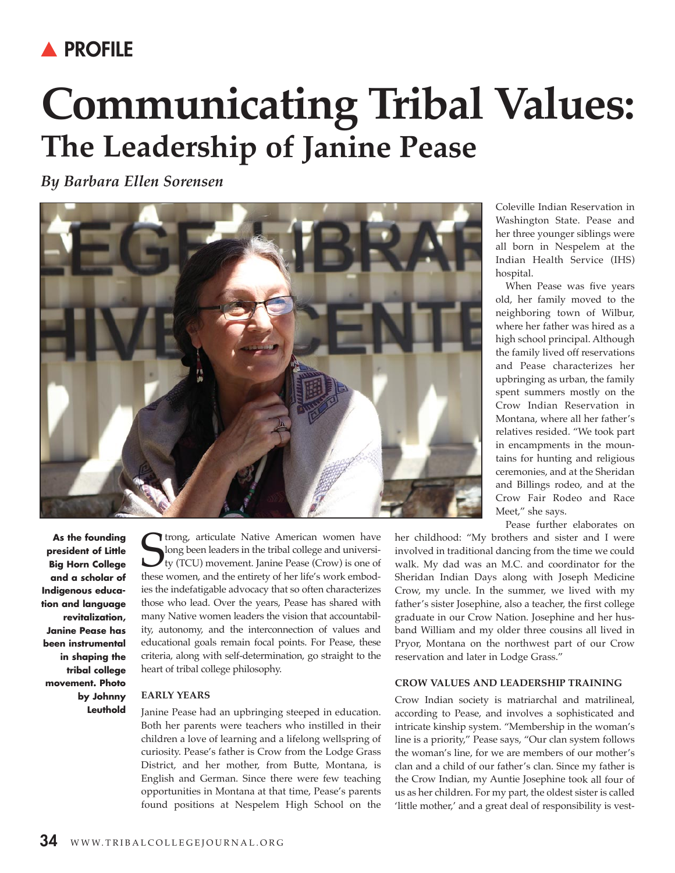## **A PROFILE**

# **Communicating Tribal Values: The Leadership of Janine Pease**

*By Barbara Ellen Sorensen*



Coleville Indian Reservation in Washington State. Pease and her three younger siblings were all born in Nespelem at the Indian Health Service (IHS) hospital.

When Pease was five years old, her family moved to the neighboring town of Wilbur, where her father was hired as a high school principal. Although the family lived off reservations and Pease characterizes her upbringing as urban, the family spent summers mostly on the Crow Indian Reservation in Montana, where all her father's relatives resided. "We took part in encampments in the mountains for hunting and religious ceremonies, and at the Sheridan and Billings rodeo, and at the Crow Fair Rodeo and Race Meet," she says.

Pease further elaborates on

**As the founding president of Little Big Horn College and a scholar of Indigenous education and language revitalization, Janine Pease has been instrumental in shaping the tribal college movement. Photo by Johnny Leuthold**

Strong, articulate Native American women have<br>
long been leaders in the tribal college and universi-<br>
ty (TCU) movement. Janine Pease (Crow) is one of<br>
these women, and the entirety of her life's work embodtrong, articulate Native American women have long been leaders in the tribal college and university (TCu) movement. Janine Pease (Crow) is one of ies the indefatigable advocacy that so often characterizes those who lead. Over the years, Pease has shared with many Native women leaders the vision that accountability, autonomy, and the interconnection of values and educational goals remain focal points. For Pease, these criteria, along with self-determination, go straight to the heart of tribal college philosophy.

### **EaRly yEaRS**

Janine Pease had an upbringing steeped in education. Both her parents were teachers who instilled in their children a love of learning and a lifelong wellspring of curiosity. Pease's father is Crow from the Lodge Grass District, and her mother, from Butte, Montana, is English and German. Since there were few teaching opportunities in Montana at that time, Pease's parents found positions at Nespelem High School on the her childhood: "My brothers and sister and I were involved in traditional dancing from the time we could walk. My dad was an M.C. and coordinator for the Sheridan Indian Days along with Joseph Medicine Crow, my uncle. In the summer, we lived with my father's sister Josephine, also a teacher, the first college graduate in our Crow Nation. Josephine and her husband William and my older three cousins all lived in Pryor, Montana on the northwest part of our Crow reservation and later in Lodge Grass."

#### **CRow ValuES aNd lEadERShip TRaiNiNg**

Crow Indian society is matriarchal and matrilineal, according to Pease, and involves a sophisticated and intricate kinship system. "Membership in the woman's line is a priority," Pease says, "Our clan system follows the woman's line, for we are members of our mother's clan and a child of our father's clan. Since my father is the Crow Indian, my Auntie Josephine took all four of us as her children. For my part, the oldest sister is called 'little mother,' and a great deal of responsibility is vest